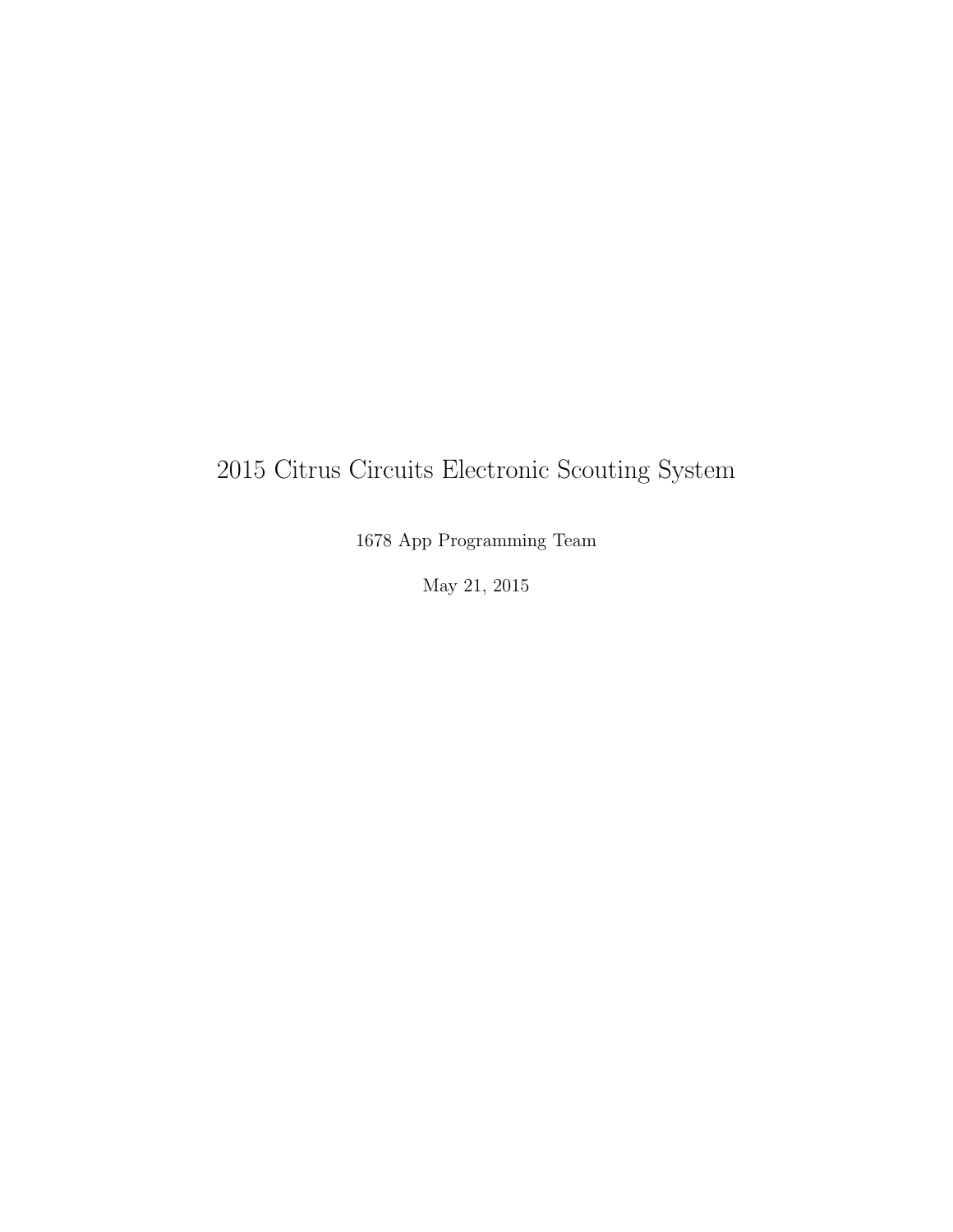# 2015 Citrus Circuits Electronic Scouting System

1678 App Programming Team

May 21, 2015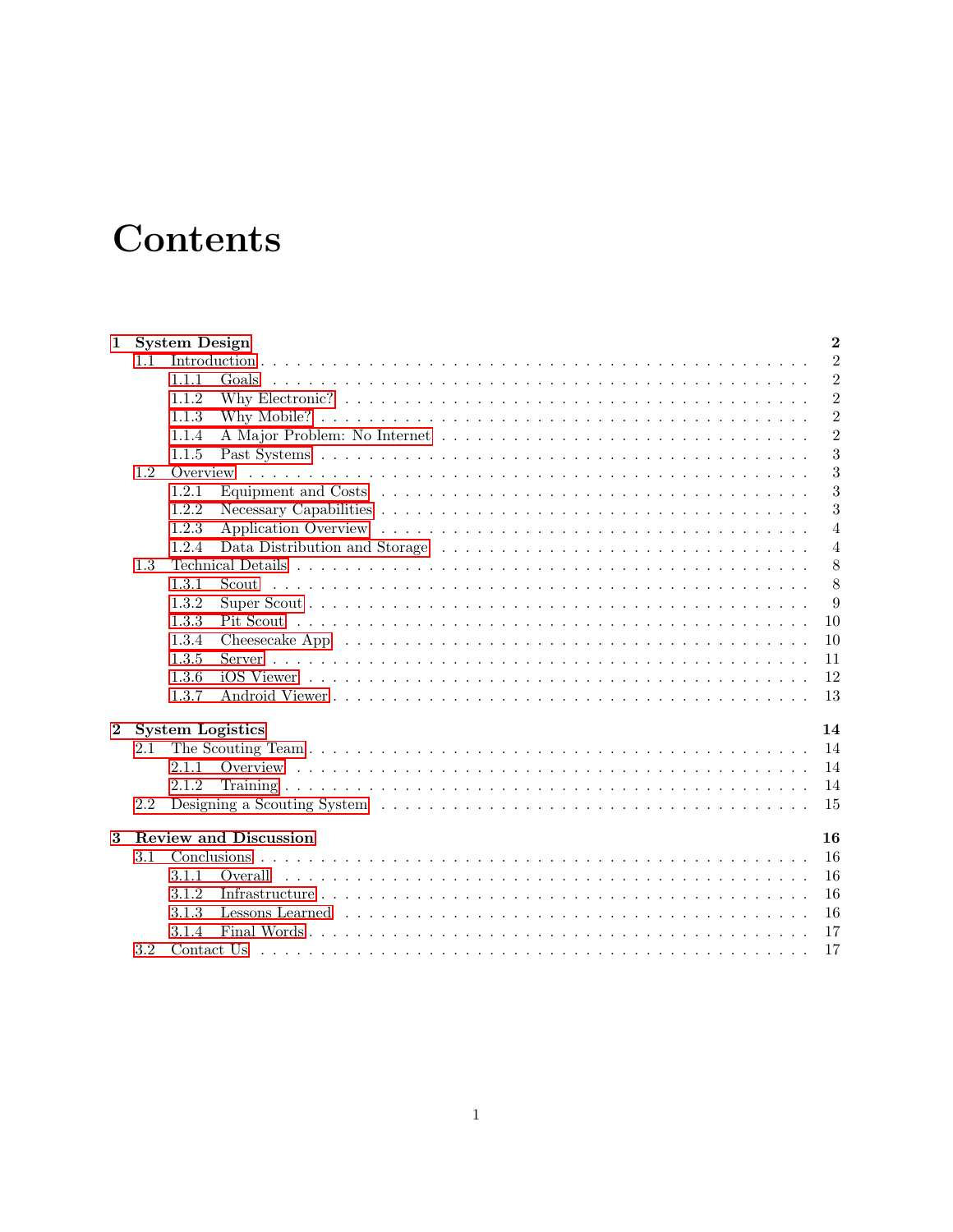# Contents

| $\mathbf 1$    |     | $\mathbf{2}$<br><b>System Design</b>                                                                                     |                |  |  |  |  |  |  |  |
|----------------|-----|--------------------------------------------------------------------------------------------------------------------------|----------------|--|--|--|--|--|--|--|
|                | 1.1 |                                                                                                                          | $\overline{2}$ |  |  |  |  |  |  |  |
|                |     | 1.1.1<br>Goals                                                                                                           | $\overline{2}$ |  |  |  |  |  |  |  |
|                |     | 1.1.2                                                                                                                    | $\overline{2}$ |  |  |  |  |  |  |  |
|                |     | 1.1.3                                                                                                                    | $\overline{2}$ |  |  |  |  |  |  |  |
|                |     | 1.1.4                                                                                                                    | $\overline{2}$ |  |  |  |  |  |  |  |
|                |     | 1.1.5                                                                                                                    | 3              |  |  |  |  |  |  |  |
|                | 1.2 |                                                                                                                          | 3              |  |  |  |  |  |  |  |
|                |     | Equipment and Costs $\dots \dots \dots \dots \dots \dots \dots \dots \dots \dots \dots \dots \dots \dots \dots$<br>1.2.1 | 3              |  |  |  |  |  |  |  |
|                |     | 1.2.2                                                                                                                    | 3              |  |  |  |  |  |  |  |
|                |     | 1.2.3                                                                                                                    | 4              |  |  |  |  |  |  |  |
|                |     | 1.2.4                                                                                                                    | $\overline{4}$ |  |  |  |  |  |  |  |
|                | 1.3 |                                                                                                                          | 8              |  |  |  |  |  |  |  |
|                |     | 1.3.1<br>Scout                                                                                                           | 8              |  |  |  |  |  |  |  |
|                |     | 1.3.2                                                                                                                    | 9              |  |  |  |  |  |  |  |
|                |     | 1.3.3                                                                                                                    | 10             |  |  |  |  |  |  |  |
|                |     | 1.3.4                                                                                                                    | 10             |  |  |  |  |  |  |  |
|                |     | 1.3.5                                                                                                                    | 11             |  |  |  |  |  |  |  |
|                |     | 1.3.6                                                                                                                    | 12             |  |  |  |  |  |  |  |
|                |     | 1.3.7                                                                                                                    | 13             |  |  |  |  |  |  |  |
| $\overline{2}$ |     | <b>System Logistics</b><br>14                                                                                            |                |  |  |  |  |  |  |  |
|                | 2.1 |                                                                                                                          | 14             |  |  |  |  |  |  |  |
|                |     | 2.1.1                                                                                                                    | 14             |  |  |  |  |  |  |  |
|                |     | 2.1.2                                                                                                                    | 14             |  |  |  |  |  |  |  |
|                | 2.2 |                                                                                                                          | 15             |  |  |  |  |  |  |  |
| 3              |     | <b>Review and Discussion</b>                                                                                             | 16             |  |  |  |  |  |  |  |
|                | 3.1 |                                                                                                                          | 16             |  |  |  |  |  |  |  |
|                |     | 3.1.1<br>Overall                                                                                                         | 16             |  |  |  |  |  |  |  |
|                |     | 3.1.2                                                                                                                    | 16             |  |  |  |  |  |  |  |
|                |     | 3.1.3                                                                                                                    | 16             |  |  |  |  |  |  |  |
|                |     | 3.1.4                                                                                                                    | 17             |  |  |  |  |  |  |  |
|                | 3.2 |                                                                                                                          | 17             |  |  |  |  |  |  |  |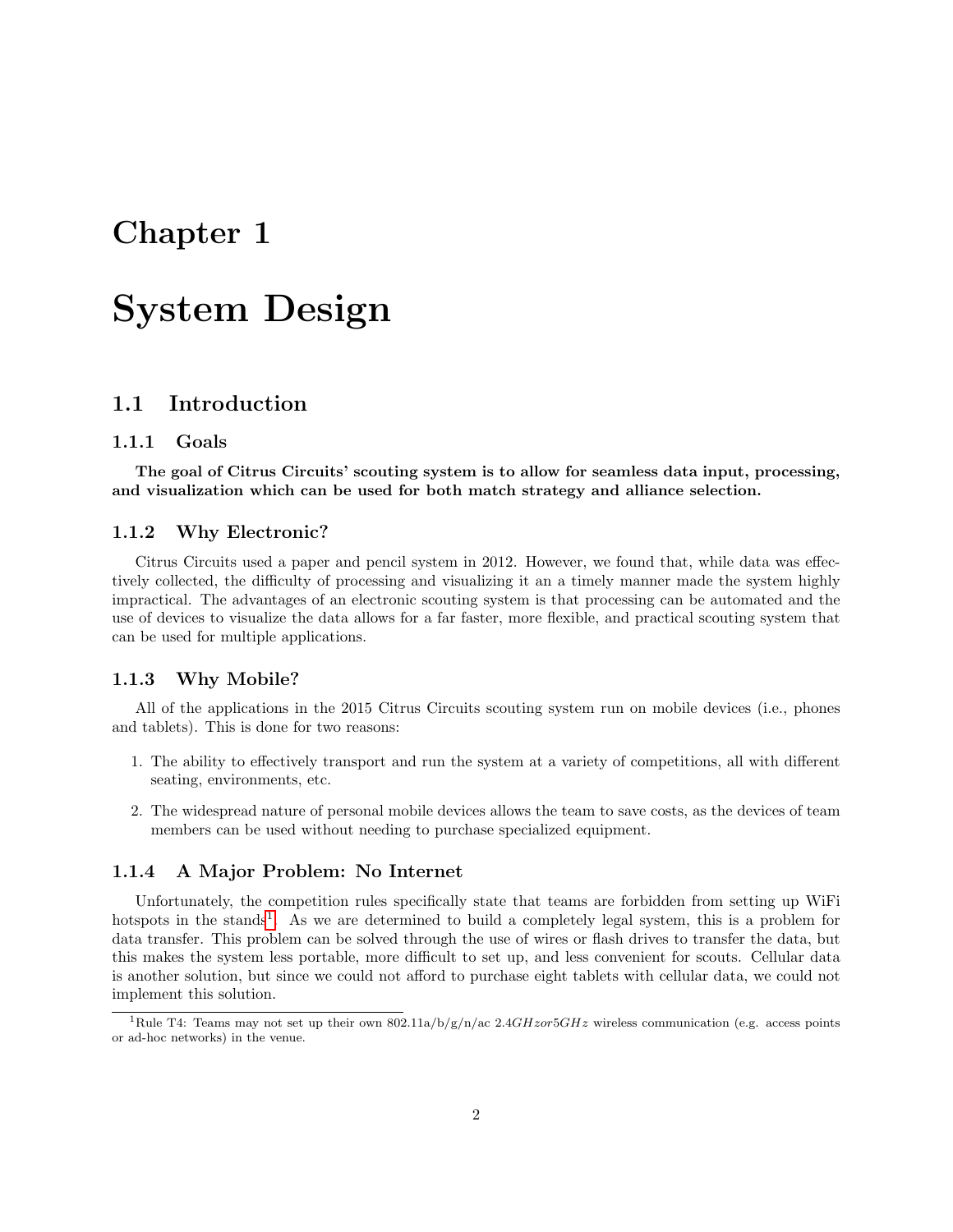# <span id="page-2-0"></span>Chapter 1

# System Design

# <span id="page-2-1"></span>1.1 Introduction

## <span id="page-2-2"></span>1.1.1 Goals

The goal of Citrus Circuits' scouting system is to allow for seamless data input, processing, and visualization which can be used for both match strategy and alliance selection.

### <span id="page-2-3"></span>1.1.2 Why Electronic?

Citrus Circuits used a paper and pencil system in 2012. However, we found that, while data was effectively collected, the difficulty of processing and visualizing it an a timely manner made the system highly impractical. The advantages of an electronic scouting system is that processing can be automated and the use of devices to visualize the data allows for a far faster, more flexible, and practical scouting system that can be used for multiple applications.

# <span id="page-2-4"></span>1.1.3 Why Mobile?

All of the applications in the 2015 Citrus Circuits scouting system run on mobile devices (i.e., phones and tablets). This is done for two reasons:

- 1. The ability to effectively transport and run the system at a variety of competitions, all with different seating, environments, etc.
- 2. The widespread nature of personal mobile devices allows the team to save costs, as the devices of team members can be used without needing to purchase specialized equipment.

# <span id="page-2-5"></span>1.1.4 A Major Problem: No Internet

Unfortunately, the competition rules specifically state that teams are forbidden from setting up WiFi hotspots in the stands<sup>[1](#page-2-6)</sup>. As we are determined to build a completely legal system, this is a problem for data transfer. This problem can be solved through the use of wires or flash drives to transfer the data, but this makes the system less portable, more difficult to set up, and less convenient for scouts. Cellular data is another solution, but since we could not afford to purchase eight tablets with cellular data, we could not implement this solution.

<span id="page-2-6"></span><sup>&</sup>lt;sup>1</sup>Rule T4: Teams may not set up their own 802.11a/b/g/n/ac 2.4GHzor5GHz wireless communication (e.g. access points or ad-hoc networks) in the venue.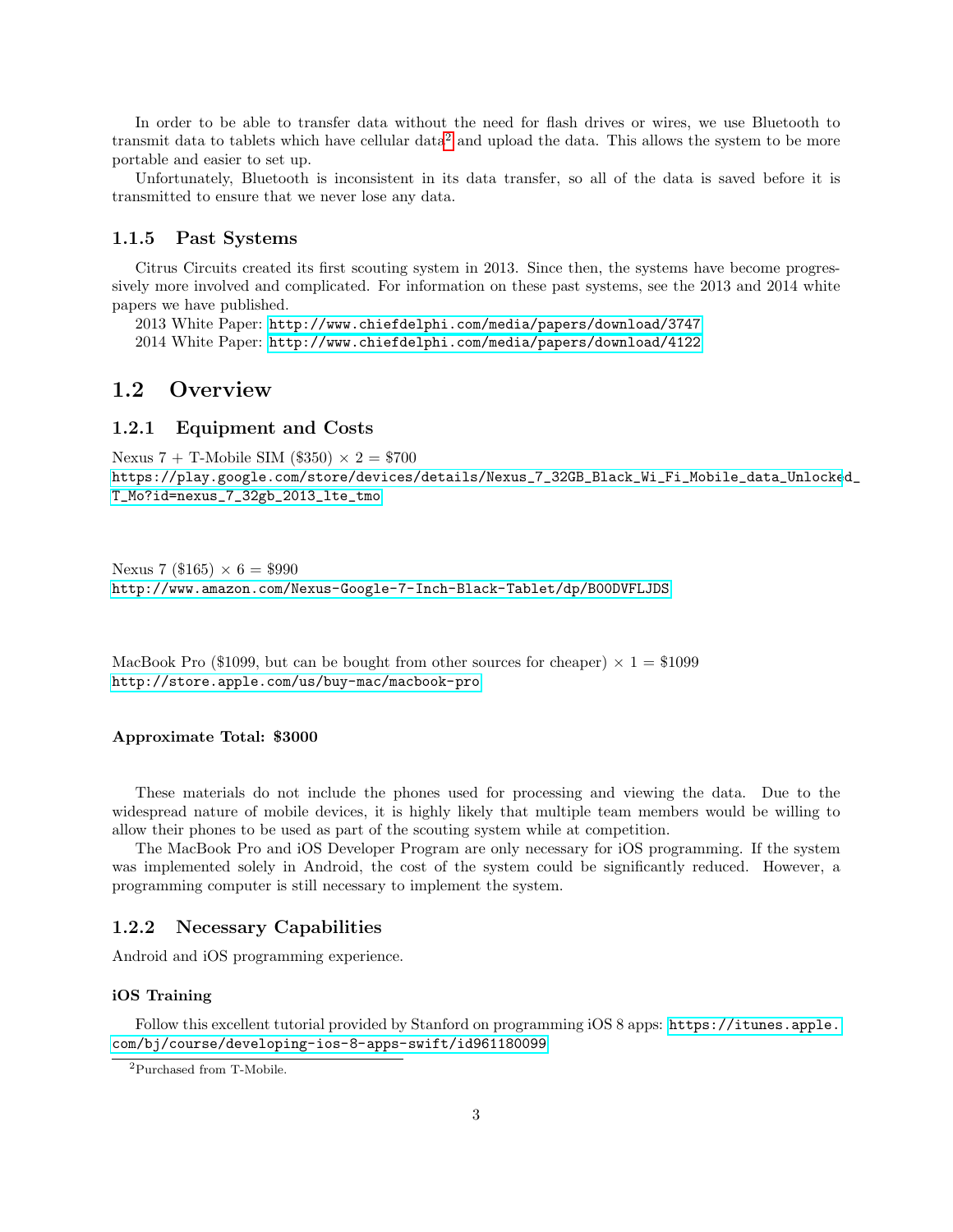In order to be able to transfer data without the need for flash drives or wires, we use Bluetooth to transmit data to tablets which have cellular data[2](#page-3-4) and upload the data. This allows the system to be more portable and easier to set up.

Unfortunately, Bluetooth is inconsistent in its data transfer, so all of the data is saved before it is transmitted to ensure that we never lose any data.

# <span id="page-3-0"></span>1.1.5 Past Systems

Citrus Circuits created its first scouting system in 2013. Since then, the systems have become progressively more involved and complicated. For information on these past systems, see the 2013 and 2014 white papers we have published.

2013 White Paper: <http://www.chiefdelphi.com/media/papers/download/3747> 2014 White Paper: <http://www.chiefdelphi.com/media/papers/download/4122>

# <span id="page-3-1"></span>1.2 Overview

# <span id="page-3-2"></span>1.2.1 Equipment and Costs

Nexus 7 + T-Mobile SIM (\$350)  $\times$  2 = \$700 [https://play.google.com/store/devices/details/Nexus\\_7\\_32GB\\_Black\\_Wi\\_Fi\\_Mobile\\_data\\_Unlocke](https://play.google.com/store/devices/details/Nexus_7_32GB_Black_Wi_Fi_Mobile_data_Unlocked_T_Mo?id=ne xus_7_32gb_2013_lte_tmo)d\_ [T\\_Mo?id=nexus\\_7\\_32gb\\_2013\\_lte\\_tmo](https://play.google.com/store/devices/details/Nexus_7_32GB_Black_Wi_Fi_Mobile_data_Unlocked_T_Mo?id=ne xus_7_32gb_2013_lte_tmo)

Nexus 7 (\$165)  $\times$  6 = \$990 <http://www.amazon.com/Nexus-Google-7-Inch-Black-Tablet/dp/B00DVFLJDS>

MacBook Pro (\$1099, but can be bought from other sources for cheaper)  $\times$  1 = \$1099 <http://store.apple.com/us/buy-mac/macbook-pro>

#### Approximate Total: \$3000

These materials do not include the phones used for processing and viewing the data. Due to the widespread nature of mobile devices, it is highly likely that multiple team members would be willing to allow their phones to be used as part of the scouting system while at competition.

The MacBook Pro and iOS Developer Program are only necessary for iOS programming. If the system was implemented solely in Android, the cost of the system could be significantly reduced. However, a programming computer is still necessary to implement the system.

# <span id="page-3-3"></span>1.2.2 Necessary Capabilities

Android and iOS programming experience.

#### iOS Training

Follow this excellent tutorial provided by Stanford on programming iOS 8 apps: [https://itunes.apple.](https://itunes.apple.com/bj/course/developing-ios-8-apps-swift/id961180099) [com/bj/course/developing-ios-8-apps-swift/id961180099](https://itunes.apple.com/bj/course/developing-ios-8-apps-swift/id961180099)

<span id="page-3-4"></span><sup>2</sup>Purchased from T-Mobile.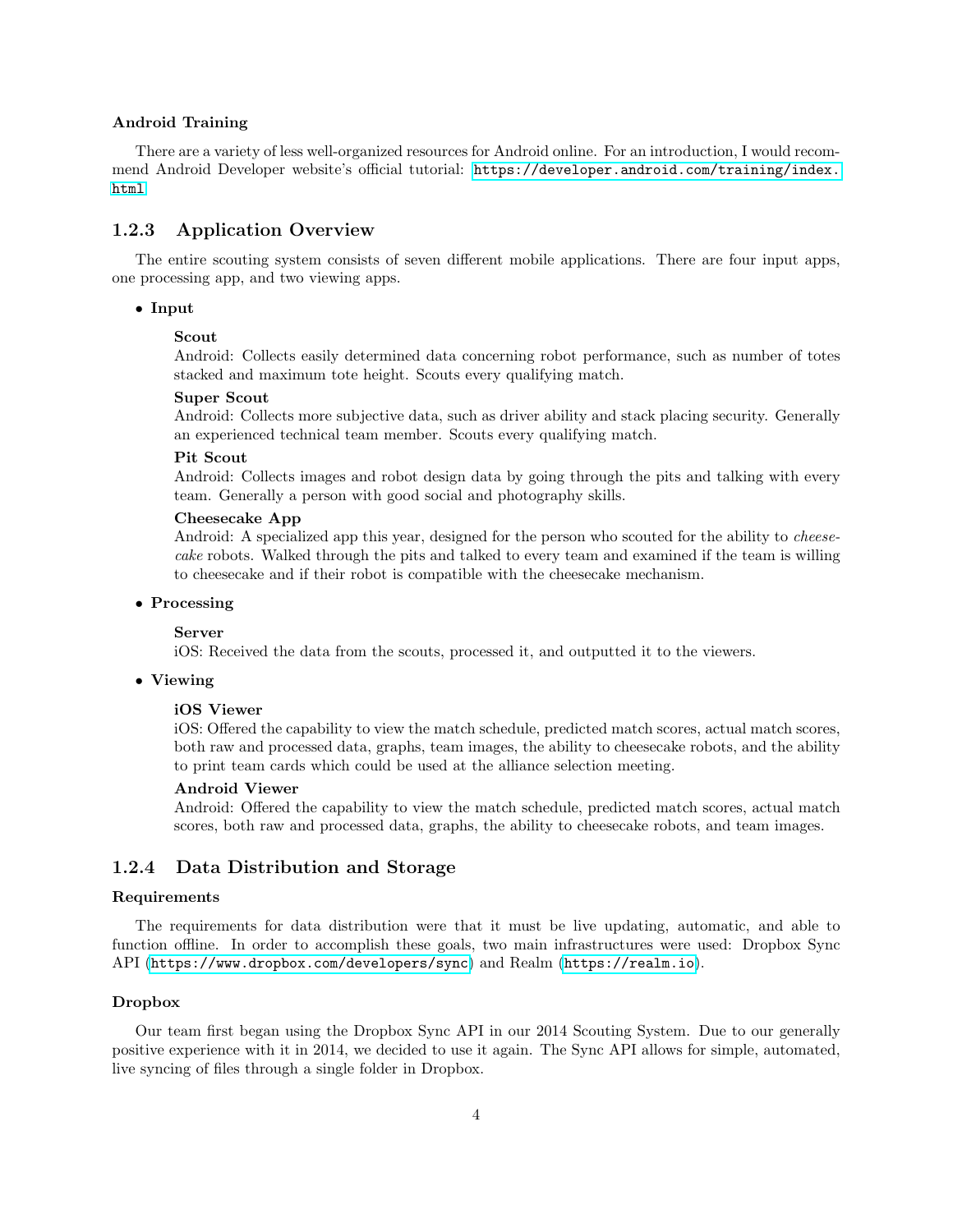#### Android Training

There are a variety of less well-organized resources for Android online. For an introduction, I would recommend Android Developer website's official tutorial: [https://developer.android.com/training/index.](https://developer.android.com/training/index.html) [html](https://developer.android.com/training/index.html)

# <span id="page-4-0"></span>1.2.3 Application Overview

The entire scouting system consists of seven different mobile applications. There are four input apps, one processing app, and two viewing apps.

# • Input

#### Scout

Android: Collects easily determined data concerning robot performance, such as number of totes stacked and maximum tote height. Scouts every qualifying match.

#### Super Scout

Android: Collects more subjective data, such as driver ability and stack placing security. Generally an experienced technical team member. Scouts every qualifying match.

#### Pit Scout

Android: Collects images and robot design data by going through the pits and talking with every team. Generally a person with good social and photography skills.

#### Cheesecake App

Android: A specialized app this year, designed for the person who scouted for the ability to *cheese*cake robots. Walked through the pits and talked to every team and examined if the team is willing to cheesecake and if their robot is compatible with the cheesecake mechanism.

#### • Processing

#### Server

iOS: Received the data from the scouts, processed it, and outputted it to the viewers.

#### • Viewing

#### iOS Viewer

iOS: Offered the capability to view the match schedule, predicted match scores, actual match scores, both raw and processed data, graphs, team images, the ability to cheesecake robots, and the ability to print team cards which could be used at the alliance selection meeting.

#### Android Viewer

Android: Offered the capability to view the match schedule, predicted match scores, actual match scores, both raw and processed data, graphs, the ability to cheesecake robots, and team images.

# <span id="page-4-1"></span>1.2.4 Data Distribution and Storage

# Requirements

The requirements for data distribution were that it must be live updating, automatic, and able to function offline. In order to accomplish these goals, two main infrastructures were used: Dropbox Sync API (<https://www.dropbox.com/developers/sync>) and Realm (<https://realm.io>).

#### Dropbox

Our team first began using the Dropbox Sync API in our 2014 Scouting System. Due to our generally positive experience with it in 2014, we decided to use it again. The Sync API allows for simple, automated, live syncing of files through a single folder in Dropbox.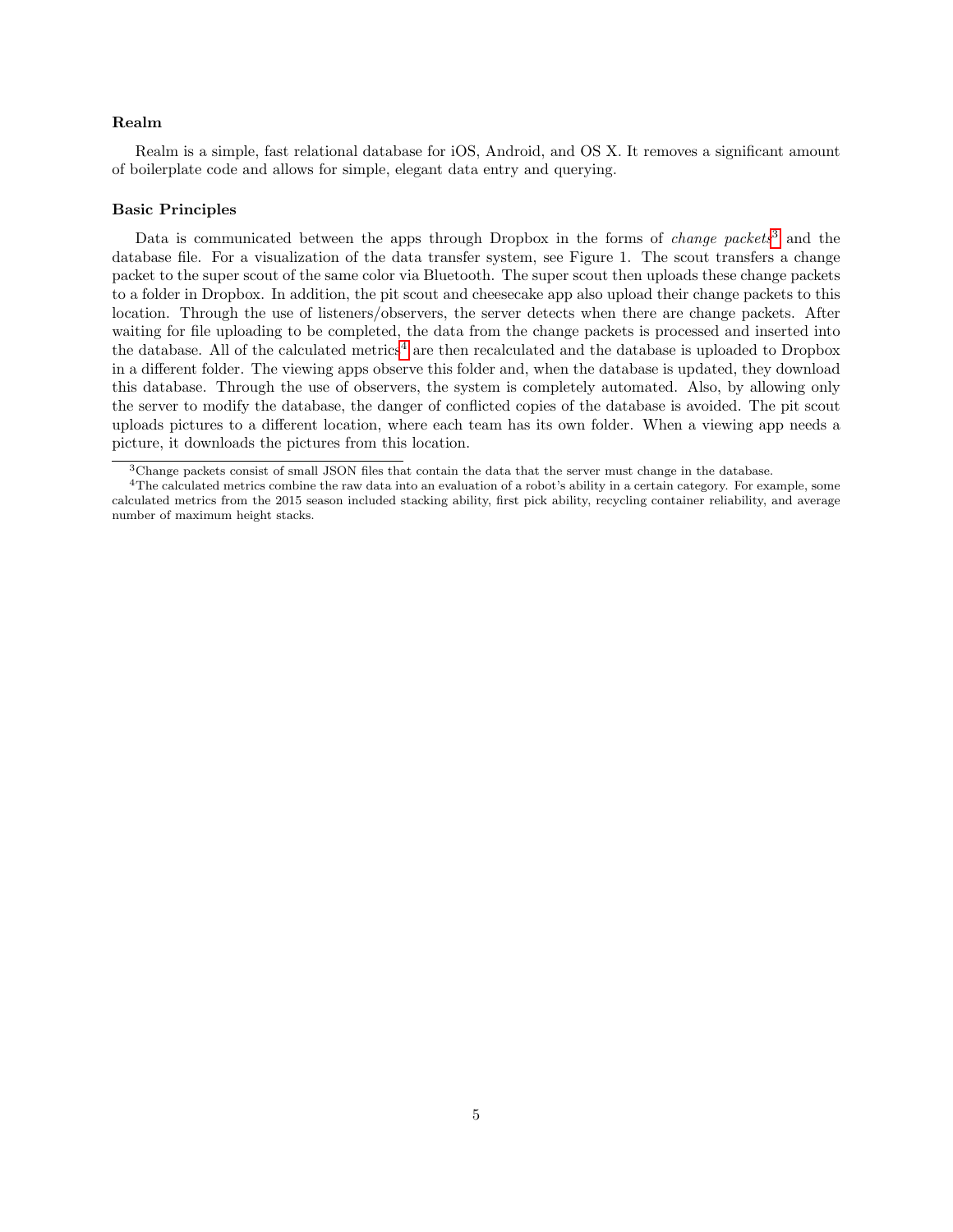#### Realm

Realm is a simple, fast relational database for iOS, Android, and OS X. It removes a significant amount of boilerplate code and allows for simple, elegant data entry and querying.

#### Basic Principles

Data is communicated between the apps through Dropbox in the forms of *change packets*<sup>[3](#page-5-0)</sup> and the database file. For a visualization of the data transfer system, see Figure 1. The scout transfers a change packet to the super scout of the same color via Bluetooth. The super scout then uploads these change packets to a folder in Dropbox. In addition, the pit scout and cheesecake app also upload their change packets to this location. Through the use of listeners/observers, the server detects when there are change packets. After waiting for file uploading to be completed, the data from the change packets is processed and inserted into the database. All of the calculated metrics<sup>[4](#page-5-1)</sup> are then recalculated and the database is uploaded to Dropbox in a different folder. The viewing apps observe this folder and, when the database is updated, they download this database. Through the use of observers, the system is completely automated. Also, by allowing only the server to modify the database, the danger of conflicted copies of the database is avoided. The pit scout uploads pictures to a different location, where each team has its own folder. When a viewing app needs a picture, it downloads the pictures from this location.

<span id="page-5-1"></span><span id="page-5-0"></span><sup>3</sup>Change packets consist of small JSON files that contain the data that the server must change in the database.

<sup>&</sup>lt;sup>4</sup>The calculated metrics combine the raw data into an evaluation of a robot's ability in a certain category. For example, some calculated metrics from the 2015 season included stacking ability, first pick ability, recycling container reliability, and average number of maximum height stacks.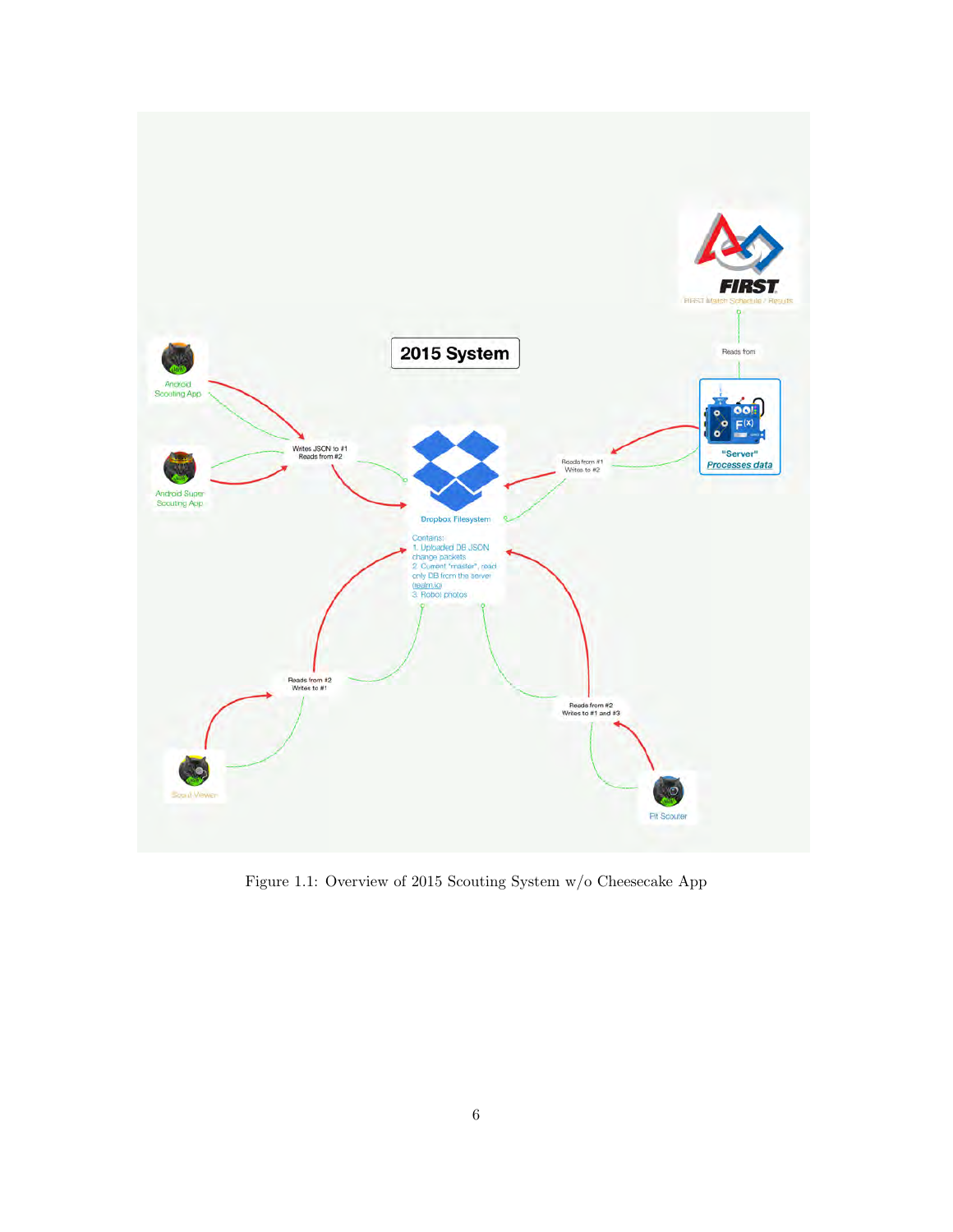

Figure 1.1: Overview of 2015 Scouting System w/o Cheesecake App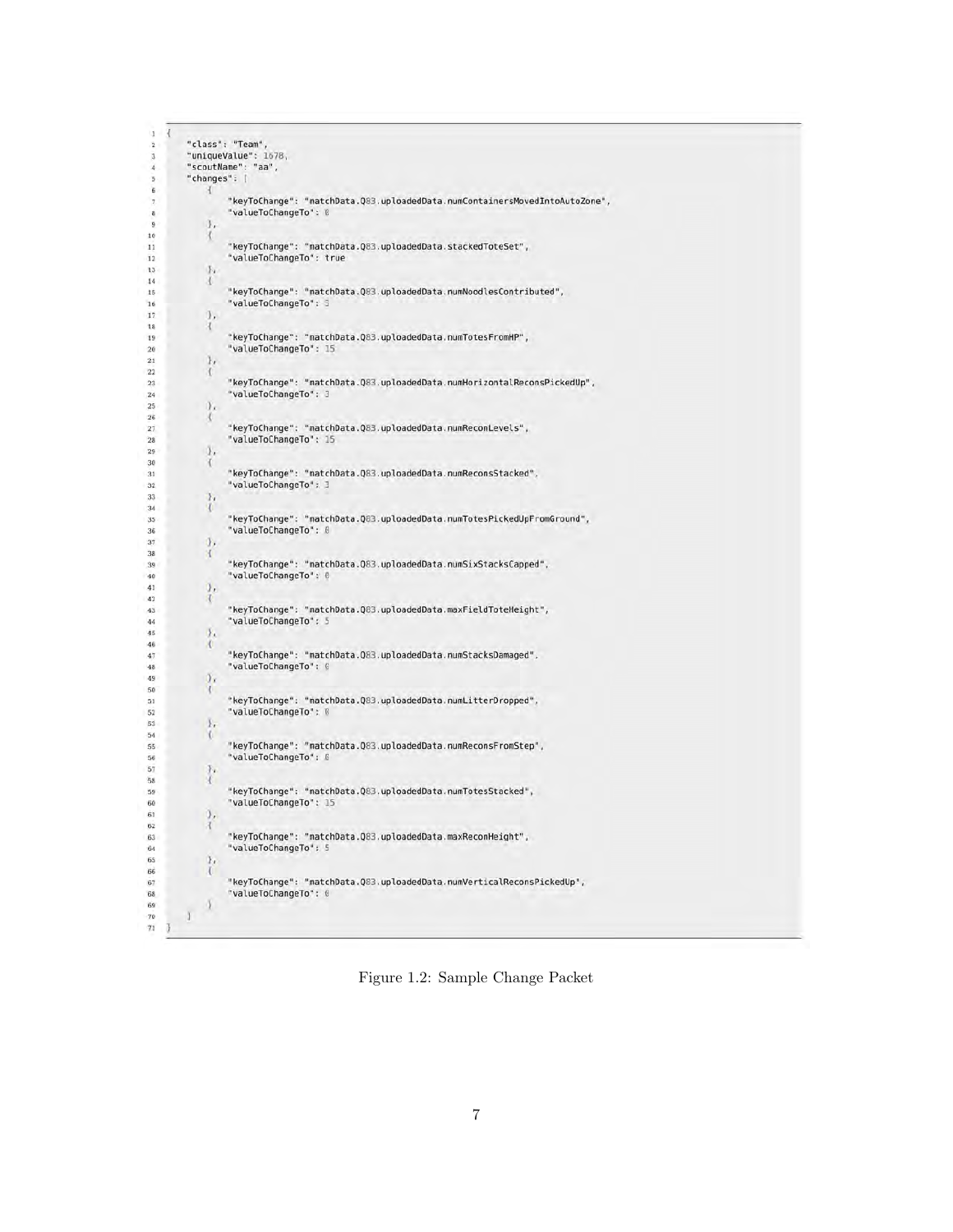```
\overline{1}"class": "Team"
 \overline{2}"uniqueValue": 1678,
 3
\overline{4}"scoutName": "aa",
          "changes": [
\ddot{\phantom{a}}6
                     "keyToChange": "matchData.Q83.uploadedData.numContainersMovedIntoAutoZone",
                     "valueToChangeTo": 0
 \overline{\mathbf{a}}\overline{9}J,
10
                Х
\frac{1}{11}"keyToChange": "matchData.Q83.uploadedData.stackedToteSet",
                     "valueToChangeTo": true
\overline{12}\sqrt{13}\mathbb{F}^{\mathsf{t}}14X.
\frac{15}{2}"keyToChange": "matchData.Q83.uploadedData.numNoodlesContributed",
16
                     "valueToChangeTo": 3
17\,J,
18
               \mathcal{A}19
                     "keyToChange": "matchData.Q83.uploadedData.numTotesFromHP",
\overline{20}"valueToChangeTo": 15
\mathbf{21}\mathcal{Y}_t22X
\overline{23}"keyToChange": "matchData.Q83.uploadedData.numHorizontalReconsPickedUp",
24
                     "valueToChangeTo": 3
\overline{25}y_{k}26
               \mathcal{A}\frac{1}{27}"keyToChange": "matchData.Q83.uploadedData.numReconLevels",
\overline{28}"valueToChangeTo": 15
29
               .
30
               \mathcal{L}"keyToChange": "matchData.Q83.uploadedData.numReconsStacked",
31\overline{32}"valueToChangeTo": 3
33
               \boldsymbol{\gamma}_i\frac{34}{35}\mathcal{L}"keyToChange": "matchData.Q83.uploadedData.numTotesPickedUpFromGround",
\overline{36}"valueToChangeTo": 0
37
               \mathcal{T}_238
               X
                     "keyToChange": "matchData.Q83.uploadedData.numSixStacksCapped",
39
40
                     "valueToChangeTo": 0
41
               \mathcal{Y}_t42\mathcal{R}"keyToChange": "matchData.Q83.uploadedData.maxFieldToteHeight",
43
\frac{1}{44}"valueToChangeTo": 5
45
               \mathcal{Y}_t46
               \mathcal{A}"keyToChange": "matchData.Q83.uploadedData.numStacksDamaged",
47"valueToChangeTo": 0
48
49
               y_{x}50\mathcal{R}"keyToChange": "matchData.Q83.uploadedData.numLitterDropped",
51
                      "valueToChangeTo": 0
52
53
               \mathbb{F}_t54
               \mathcal{R}"keyToChange": "matchData.Q83.uploadedData.numReconsFromStep",
{\bf 55}"valueToChangeTo": B
56
57
               \mathcal{F}_t58
                     "keyToChange": "matchData.Q83.uploadedData.numTotesStacked",<br>"valueToChangeTo": 15
59
60
61
               \frac{1}{3}62
                     "keyToChange": "matchData.Q83.uploadedData.maxReconHeight",<br>"valueToChangeTo": 5
63
64
65
                \mathbf{F}66
                \overline{t}"keyToChange": "matchData.Q83.uploadedData.numVerticalReconsPickedUp",
67
                     "valueToChangeTo": 0
68
69
               \lambda\gamma_0\mathbf{I}\overline{\imath}\overline{\imath}
```
Figure 1.2: Sample Change Packet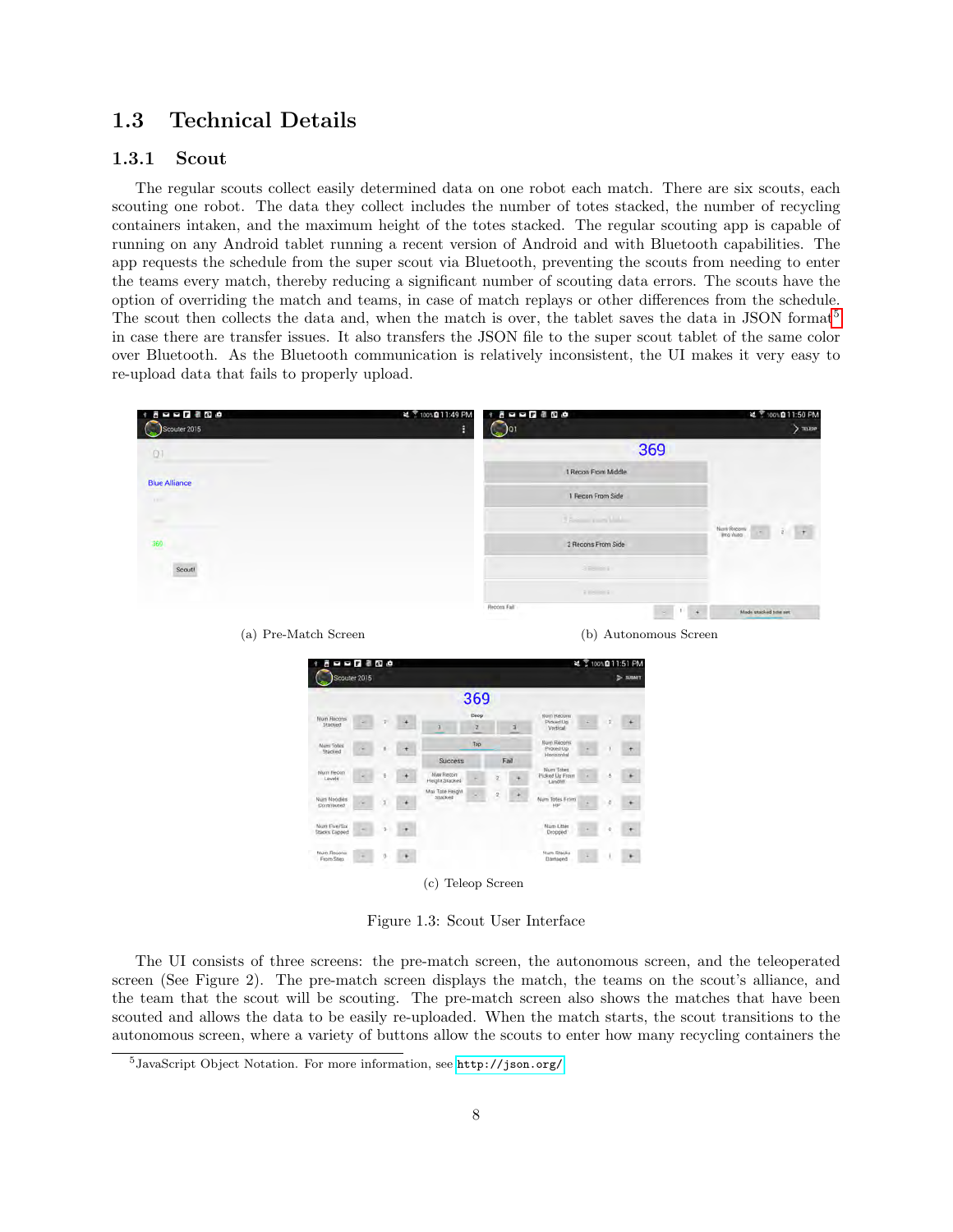# <span id="page-8-0"></span>1.3 Technical Details

# <span id="page-8-1"></span>1.3.1 Scout

The regular scouts collect easily determined data on one robot each match. There are six scouts, each scouting one robot. The data they collect includes the number of totes stacked, the number of recycling containers intaken, and the maximum height of the totes stacked. The regular scouting app is capable of running on any Android tablet running a recent version of Android and with Bluetooth capabilities. The app requests the schedule from the super scout via Bluetooth, preventing the scouts from needing to enter the teams every match, thereby reducing a significant number of scouting data errors. The scouts have the option of overriding the match and teams, in case of match replays or other differences from the schedule. The scout then collects the data and, when the match is over, the tablet saves the data in JSON format<sup>[5](#page-8-2)</sup> in case there are transfer issues. It also transfers the JSON file to the super scout tablet of the same color over Bluetooth. As the Bluetooth communication is relatively inconsistent, the UI makes it very easy to re-upload data that fails to properly upload.

| $* 5 - 7 3 0 0$<br>Scouter 2015 | 2 7100%Q11:49 PM | $+ 6 - - 7 - 8 - 8 - 9$<br>$\bigcirc$ |         | は ?100%自11:50 PM<br>TILEOP |
|---------------------------------|------------------|---------------------------------------|---------|----------------------------|
| O <sub>1</sub>                  |                  |                                       | 369     |                            |
| <b>Blue Alliance</b>            |                  | 1 Recon From Middle                   |         |                            |
| <b>A Britt</b>                  |                  | 1 Recon From Side                     |         |                            |
| ÷                               |                  | Them run Mills                        |         |                            |
| 369                             |                  | 2 Recons From Side                    |         | Num Repany<br>  Into Auto  |
| Scout!                          |                  | 3 8 8 8 8 8 8                         |         |                            |
|                                 |                  | ERS IN                                |         |                            |
|                                 |                  | Recons Fail<br><b>STATISTICS</b>      | ÷<br>C. | Made stacked tote set      |

(a) Pre-Match Screen (b) Autonomous Screen



Figure 1.3: Scout User Interface

The UI consists of three screens: the pre-match screen, the autonomous screen, and the teleoperated screen (See Figure 2). The pre-match screen displays the match, the teams on the scout's alliance, and the team that the scout will be scouting. The pre-match screen also shows the matches that have been scouted and allows the data to be easily re-uploaded. When the match starts, the scout transitions to the autonomous screen, where a variety of buttons allow the scouts to enter how many recycling containers the

<span id="page-8-2"></span><sup>5</sup>JavaScript Object Notation. For more information, see <http://json.org/>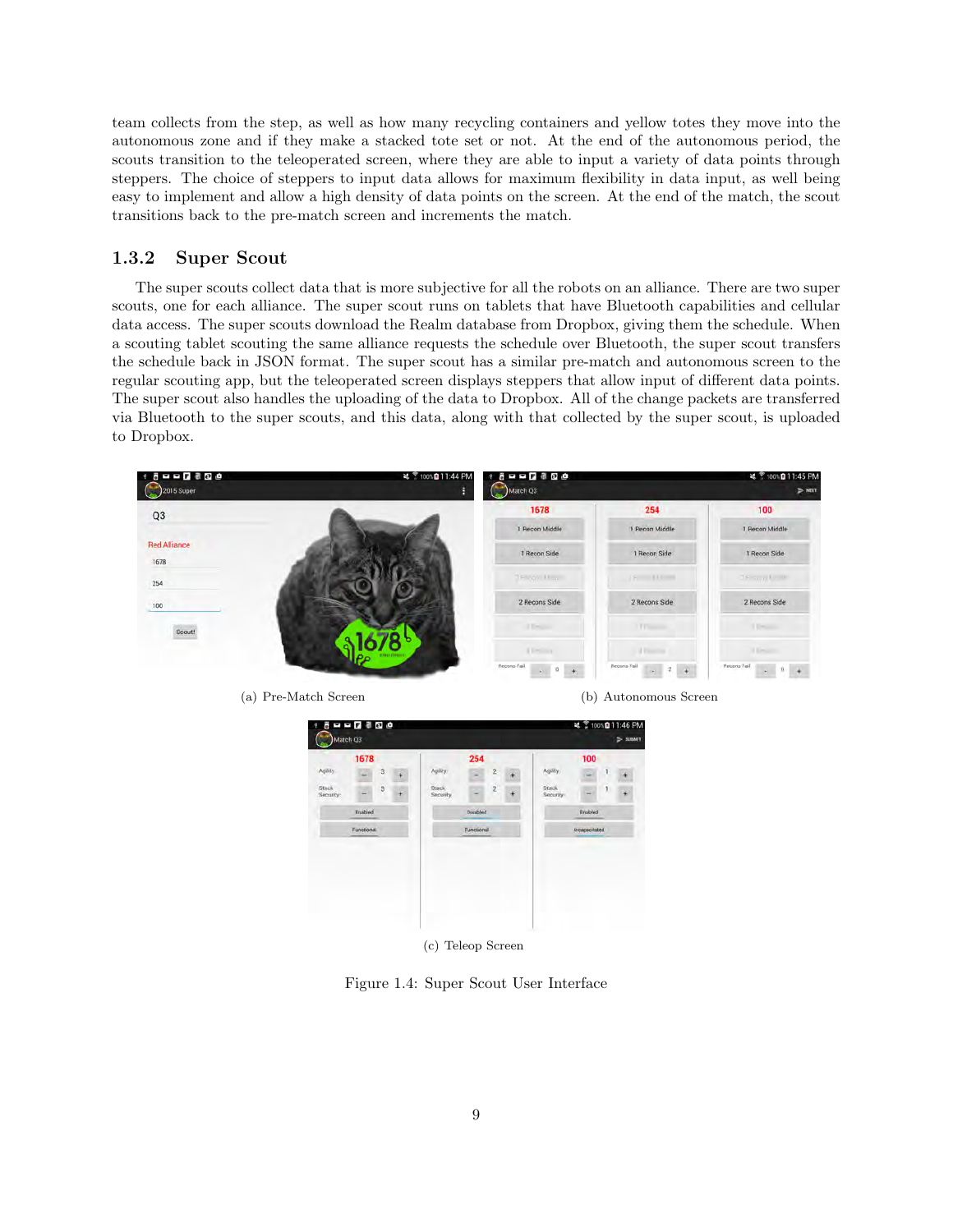team collects from the step, as well as how many recycling containers and yellow totes they move into the autonomous zone and if they make a stacked tote set or not. At the end of the autonomous period, the scouts transition to the teleoperated screen, where they are able to input a variety of data points through steppers. The choice of steppers to input data allows for maximum flexibility in data input, as well being easy to implement and allow a high density of data points on the screen. At the end of the match, the scout transitions back to the pre-match screen and increments the match.

# <span id="page-9-0"></span>1.3.2 Super Scout

The super scouts collect data that is more subjective for all the robots on an alliance. There are two super scouts, one for each alliance. The super scout runs on tablets that have Bluetooth capabilities and cellular data access. The super scouts download the Realm database from Dropbox, giving them the schedule. When a scouting tablet scouting the same alliance requests the schedule over Bluetooth, the super scout transfers the schedule back in JSON format. The super scout has a similar pre-match and autonomous screen to the regular scouting app, but the teleoperated screen displays steppers that allow input of different data points. The super scout also handles the uploading of the data to Dropbox. All of the change packets are transferred via Bluetooth to the super scouts, and this data, along with that collected by the super scout, is uploaded to Dropbox.



Figure 1.4: Super Scout User Interface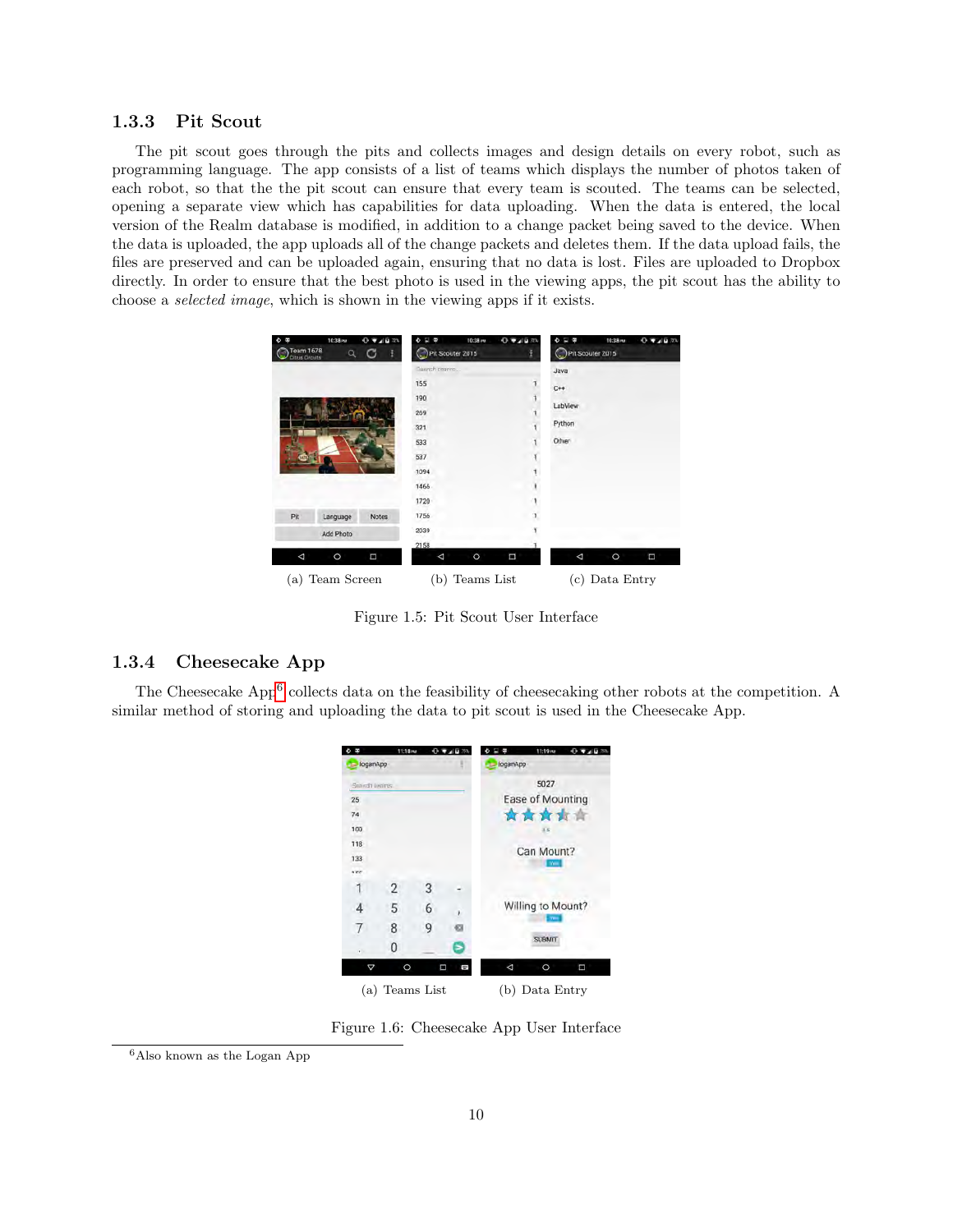# <span id="page-10-0"></span>1.3.3 Pit Scout

The pit scout goes through the pits and collects images and design details on every robot, such as programming language. The app consists of a list of teams which displays the number of photos taken of each robot, so that the the pit scout can ensure that every team is scouted. The teams can be selected, opening a separate view which has capabilities for data uploading. When the data is entered, the local version of the Realm database is modified, in addition to a change packet being saved to the device. When the data is uploaded, the app uploads all of the change packets and deletes them. If the data upload fails, the files are preserved and can be uploaded again, ensuring that no data is lost. Files are uploaded to Dropbox directly. In order to ensure that the best photo is used in the viewing apps, the pit scout has the ability to choose a selected image, which is shown in the viewing apps if it exists.

| Team 1678<br>Citrus Circuits | 10:38 PM<br>$\alpha$ | 0.71673<br>C<br>ř. | 10:38 mg<br>Pit Scouter 2015 | 0.72625 | Pit Scouter 2015  | $0 + 4071$<br>10:38 mm |  |
|------------------------------|----------------------|--------------------|------------------------------|---------|-------------------|------------------------|--|
|                              |                      |                    | Suarch cearms                |         | Java              |                        |  |
|                              |                      |                    | 155                          |         | $C++$             |                        |  |
|                              |                      |                    | 190                          |         |                   |                        |  |
|                              |                      |                    | 269                          |         | LabView           |                        |  |
|                              |                      |                    | 321                          |         | Python            |                        |  |
|                              |                      |                    | 533                          |         | Other             |                        |  |
|                              |                      |                    | 537                          |         |                   |                        |  |
|                              |                      |                    | 1094                         |         |                   |                        |  |
|                              |                      |                    | 1466                         |         |                   |                        |  |
|                              |                      |                    | 1720                         |         |                   |                        |  |
| Pit                          | Language             | <b>Notes</b>       | 1756                         |         |                   |                        |  |
|                              | Add Photo            |                    | 2039                         |         |                   |                        |  |
|                              |                      |                    | 2158                         |         |                   |                        |  |
| Δ                            | $\circ$              | Π                  | $\circ$<br>Δ                 | Ξ       | Δ                 | $\circ$<br>Ξ           |  |
| (a)                          | Team Screen          |                    | Teams List<br>(b)            |         | Data Entry<br>(c) |                        |  |

Figure 1.5: Pit Scout User Interface

# <span id="page-10-1"></span>1.3.4 Cheesecake App

The Cheesecake App<sup>[6](#page-10-2)</sup> collects data on the feasibility of cheesecaking other robots at the competition. A similar method of storing and uploading the data to pit scout is used in the Cheesecake App.

|                 | 11:18 mm |            |        |          | 11:19 mm          |   |
|-----------------|----------|------------|--------|----------|-------------------|---|
| loganApp        |          |            |        | loganApp |                   |   |
| Search liverns. |          |            |        |          | 5027              |   |
| 25              |          |            |        |          | Ease of Mounting  |   |
| 74              |          |            |        |          | ☆☆☆☆☆             |   |
| 100             |          |            |        |          | 35                |   |
| 118             |          |            |        |          | Can Mount?        |   |
| 133<br>rce      |          |            |        |          | <b>There</b>      |   |
|                 | 2        | 3          |        |          |                   |   |
|                 |          |            |        |          |                   |   |
| 4               | 5        | 6          |        |          | Willing to Mount? |   |
| 7               | 8        | 9          |        |          |                   |   |
|                 | 0        |            |        |          | <b>SUBMIT</b>     |   |
|                 | O        |            | Ω<br>÷ | ⊲        | O                 | □ |
| (a)             |          | Teams List |        |          | (b) Data Entry    |   |

Figure 1.6: Cheesecake App User Interface

<span id="page-10-2"></span><sup>6</sup>Also known as the Logan App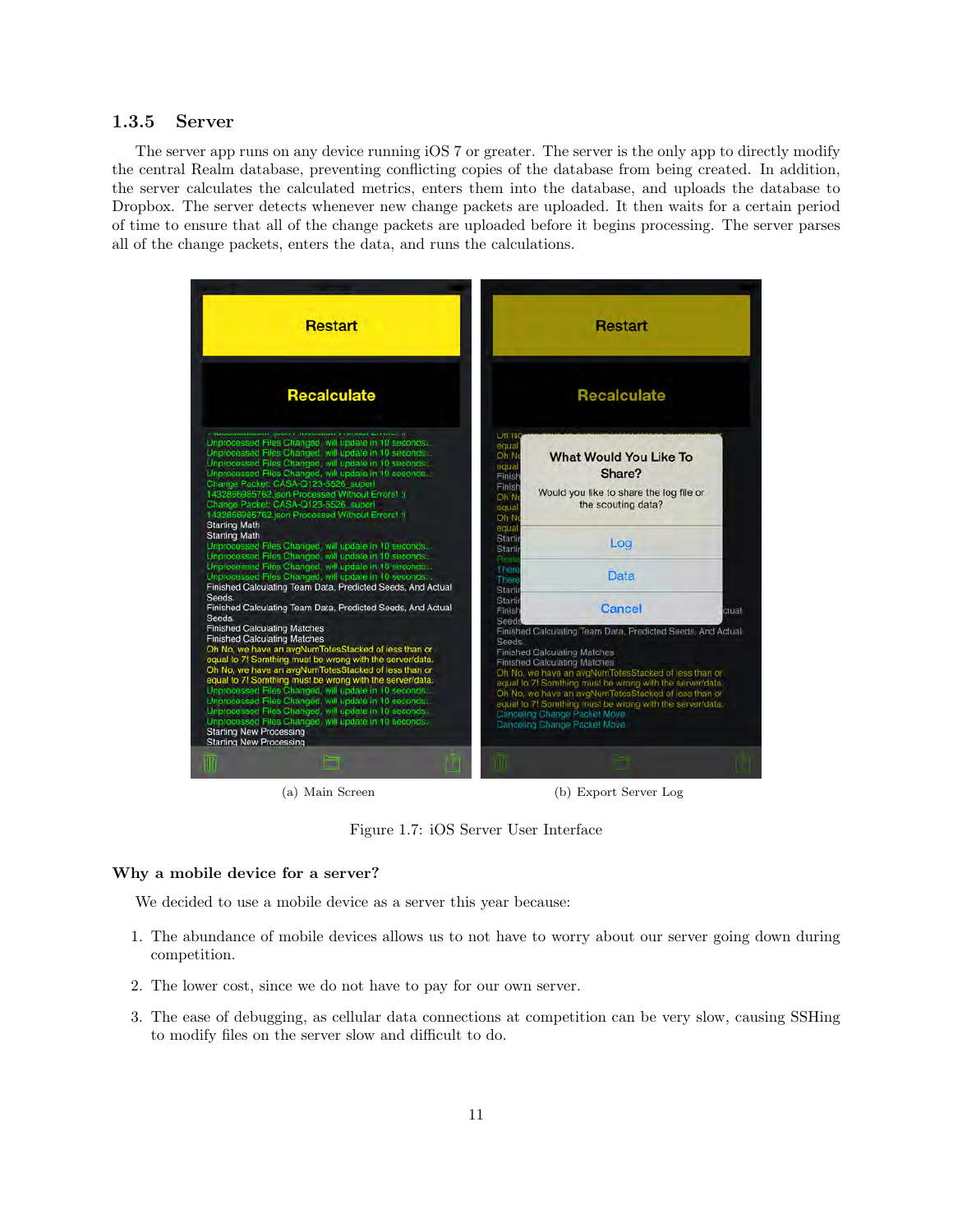#### <span id="page-11-0"></span>1.3.5 Server

The server app runs on any device running iOS 7 or greater. The server is the only app to directly modify the central Realm database, preventing conflicting copies of the database from being created. In addition, the server calculates the calculated metrics, enters them into the database, and uploads the database to Dropbox. The server detects whenever new change packets are uploaded. It then waits for a certain period of time to ensure that all of the change packets are uploaded before it begins processing. The server parses all of the change packets, enters the data, and runs the calculations.



(a) Main Screen (b) Export Server Log

Figure 1.7: iOS Server User Interface

#### Why a mobile device for a server?

We decided to use a mobile device as a server this year because:

- 1. The abundance of mobile devices allows us to not have to worry about our server going down during competition.
- 2. The lower cost, since we do not have to pay for our own server.
- 3. The ease of debugging, as cellular data connections at competition can be very slow, causing SSHing to modify files on the server slow and difficult to do.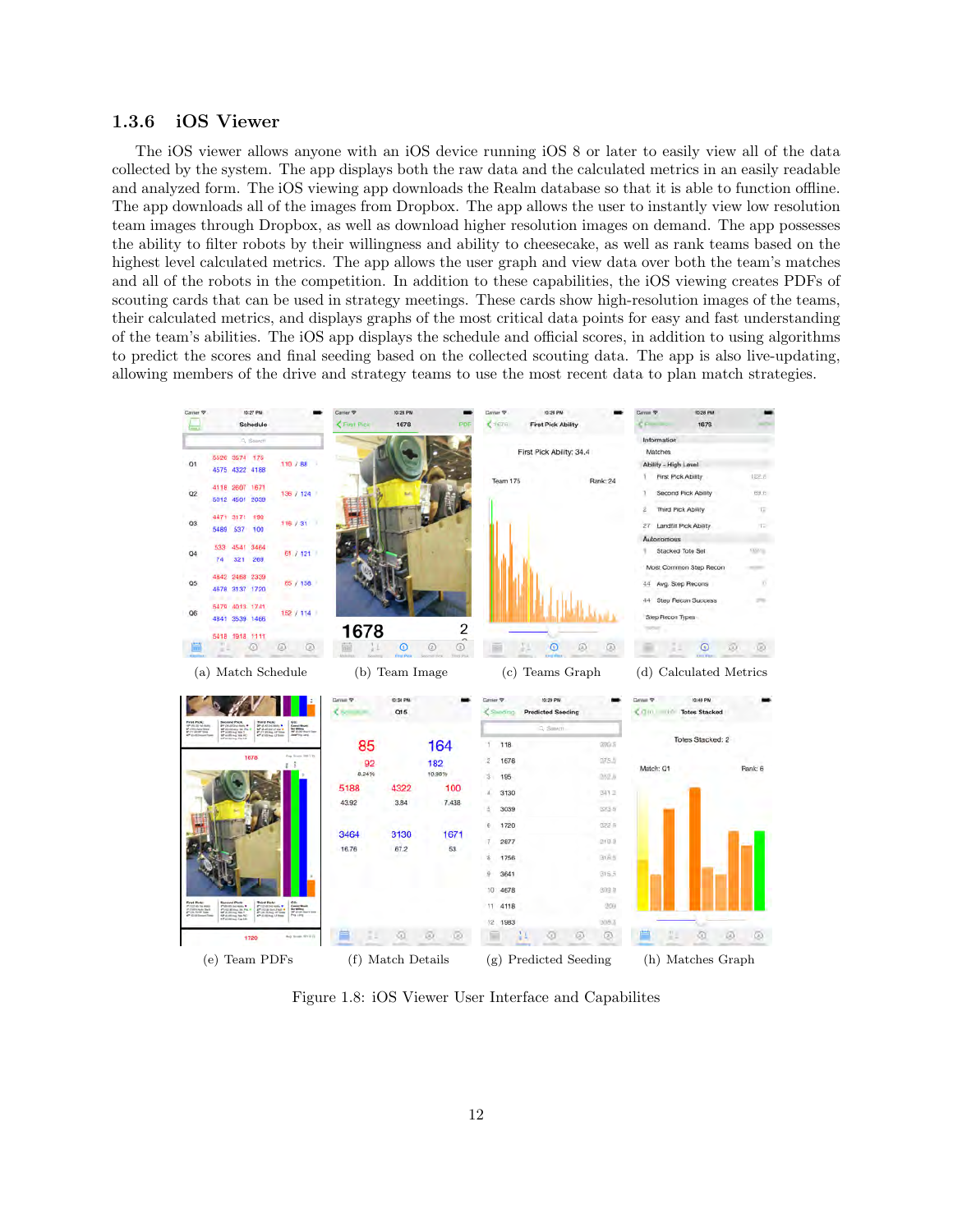# <span id="page-12-0"></span>1.3.6 iOS Viewer

The iOS viewer allows anyone with an iOS device running iOS 8 or later to easily view all of the data collected by the system. The app displays both the raw data and the calculated metrics in an easily readable and analyzed form. The iOS viewing app downloads the Realm database so that it is able to function offline. The app downloads all of the images from Dropbox. The app allows the user to instantly view low resolution team images through Dropbox, as well as download higher resolution images on demand. The app possesses the ability to filter robots by their willingness and ability to cheesecake, as well as rank teams based on the highest level calculated metrics. The app allows the user graph and view data over both the team's matches and all of the robots in the competition. In addition to these capabilities, the iOS viewing creates PDFs of scouting cards that can be used in strategy meetings. These cards show high-resolution images of the teams, their calculated metrics, and displays graphs of the most critical data points for easy and fast understanding of the team's abilities. The iOS app displays the schedule and official scores, in addition to using algorithms to predict the scores and final seeding based on the collected scouting data. The app is also live-updating, allowing members of the drive and strategy teams to use the most recent data to plan match strategies.



Figure 1.8: iOS Viewer User Interface and Capabilites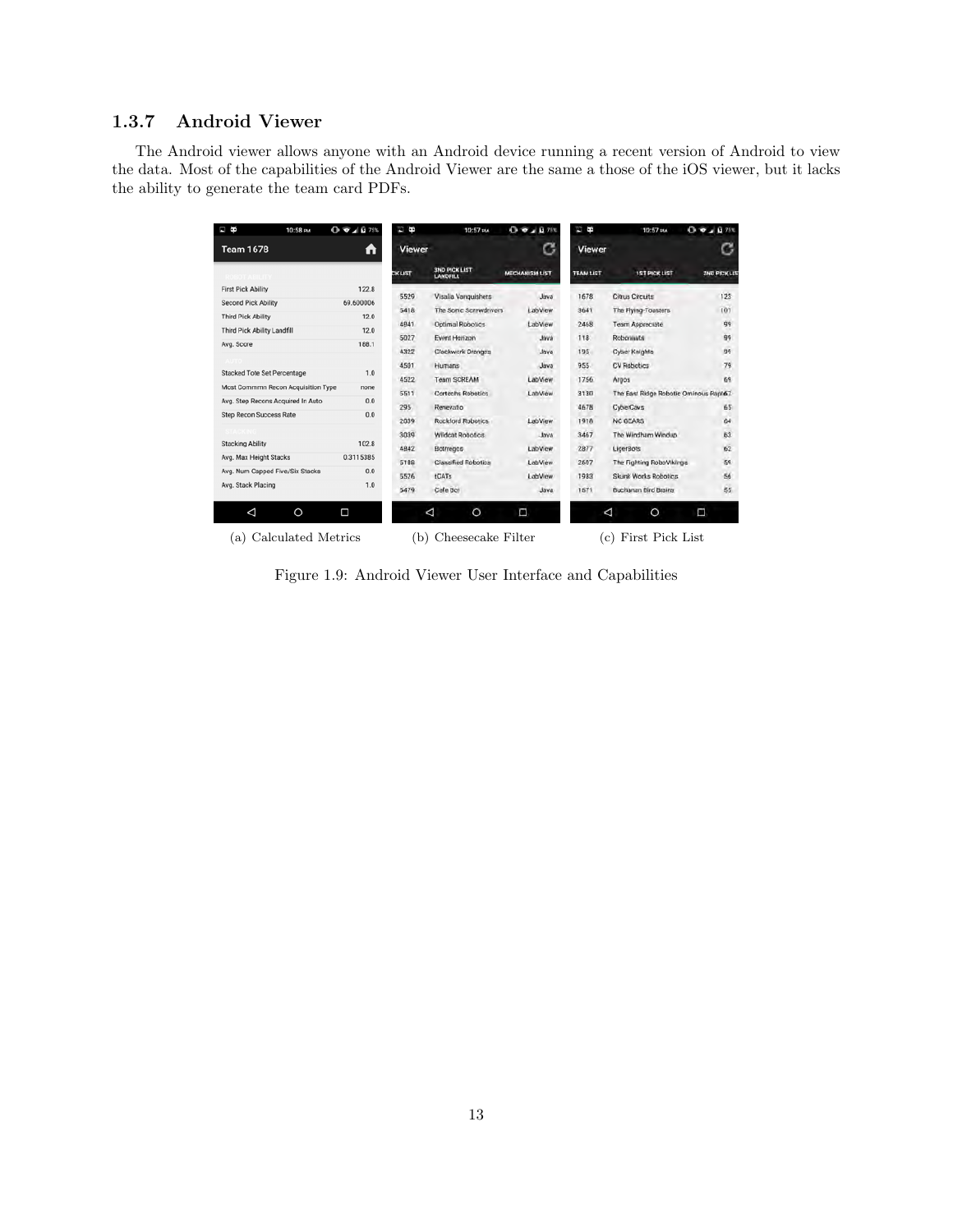# <span id="page-13-0"></span>1.3.7 Android Viewer

The Android viewer allows anyone with an Android device running a recent version of Android to view the data. Most of the capabilities of the Android Viewer are the same a those of the iOS viewer, but it lacks the ability to generate the team card PDFs.

| B<br>10:58 PM                      | $Q \nabla A$ 0 75% | Ò              | 10:57 PM                                | $0 - 1075$            | в<br>f,          | 10:57 PM                               | 0.94011              |
|------------------------------------|--------------------|----------------|-----------------------------------------|-----------------------|------------------|----------------------------------------|----------------------|
| <b>Team 1678</b>                   | n                  | <b>Viewer</b>  |                                         | G                     | <b>Viewer</b>    |                                        |                      |
|                                    |                    | <b>CK LIST</b> | <b>3ND PICK LIST</b><br><b>LANDFILL</b> | <b>MECHANISM LIST</b> | <b>TEAM LIST</b> | <b>1ST PICK LIST</b>                   | <b>ZND PICK LIST</b> |
| <b>First Pick Ability</b>          | 122.8              | 5529           | Visalia Vanguishers                     | Java                  | 1678             | Citrus Circuits                        | 123                  |
| <b>Second Pick Ability</b>         | 69.600006          |                |                                         |                       |                  |                                        |                      |
| <b>Third Pick Ability</b>          | 12.0               | 5418           | The Sonic Screwdrivers                  | LabView               | 3641             | The Flying-Toasters                    | 101                  |
| Third Pick Ability Landfill        | 12.0               | 4841           | <b>Optimal Robotics</b>                 | LabView               | 2468             | Team Appreciate                        | 99                   |
| Avg. Score                         | 188.1              | 5027           | Event Hanzon                            | <b>Java</b>           | 118              | Robonauts                              | 99                   |
|                                    |                    | 4322           | Clockwork Oranges                       | Java                  | 195              | Cyber Knights                          | 99                   |
| Stacked Tote Set Percentage        | 1.0                | 4501           | Humans                                  | Java                  | 955              | CV Robotics                            | 79                   |
|                                    |                    | 4522           | <b>Team SCREAM</b>                      | LabView               | 1756             | Argos                                  | 69                   |
| Most Commmn Recon Acquisition Type | none               | 5511           | Cortechs Robotics                       | LabView               | 3130             | The East Ridge Robotic Ominous Rapto7. |                      |
| Avg. Step Recons Acquired In Auto  | 0.0                | 295            | Renevatio                               |                       | 4678             | CyberCavs                              | 65                   |
| Step Recon Success Rate            | 0.0                | 2039           | <b>Rockford Robotics</b>                | LabView               | 1918             | <b>NC GEARS</b>                        | 64                   |
|                                    |                    | 3039           | Wildcat Robotics                        | Java                  | 3467             | The Windham Windup                     | 63                   |
| <b>Stacking Ability</b>            | 102.8              | 4842           | Bottregos                               | LabView               | 2877             | LigerBots                              | 62                   |
| Avg. Max Height Stacks             | 0.3115385          | 5188           | <b>Classified Robotics</b>              | LabView               | 2607             | The Fighting RoboVikings               | 59                   |
| Avg. Num Capped Five/Six Stacks    | 0.0                | 5526           | <b>tCATs</b>                            | LabView               | 1983             | Skunk Works Robotics                   | 56                   |
| Avg. Stack Placing                 | 1.0                | 5479           | Cafe Bot                                | Java                  | 1571             | Buchanan Bird Brains                   | 55                   |
| ◁<br>$\circ$                       | Ω                  | ◁              | $\circ$                                 | Ω                     |                  | ⊲<br>O                                 | Π                    |
| Calculated Metrics<br>(a)          |                    | (b)            | Cheesecake Filter                       |                       |                  | First Pick List<br>(c)                 |                      |

Figure 1.9: Android Viewer User Interface and Capabilities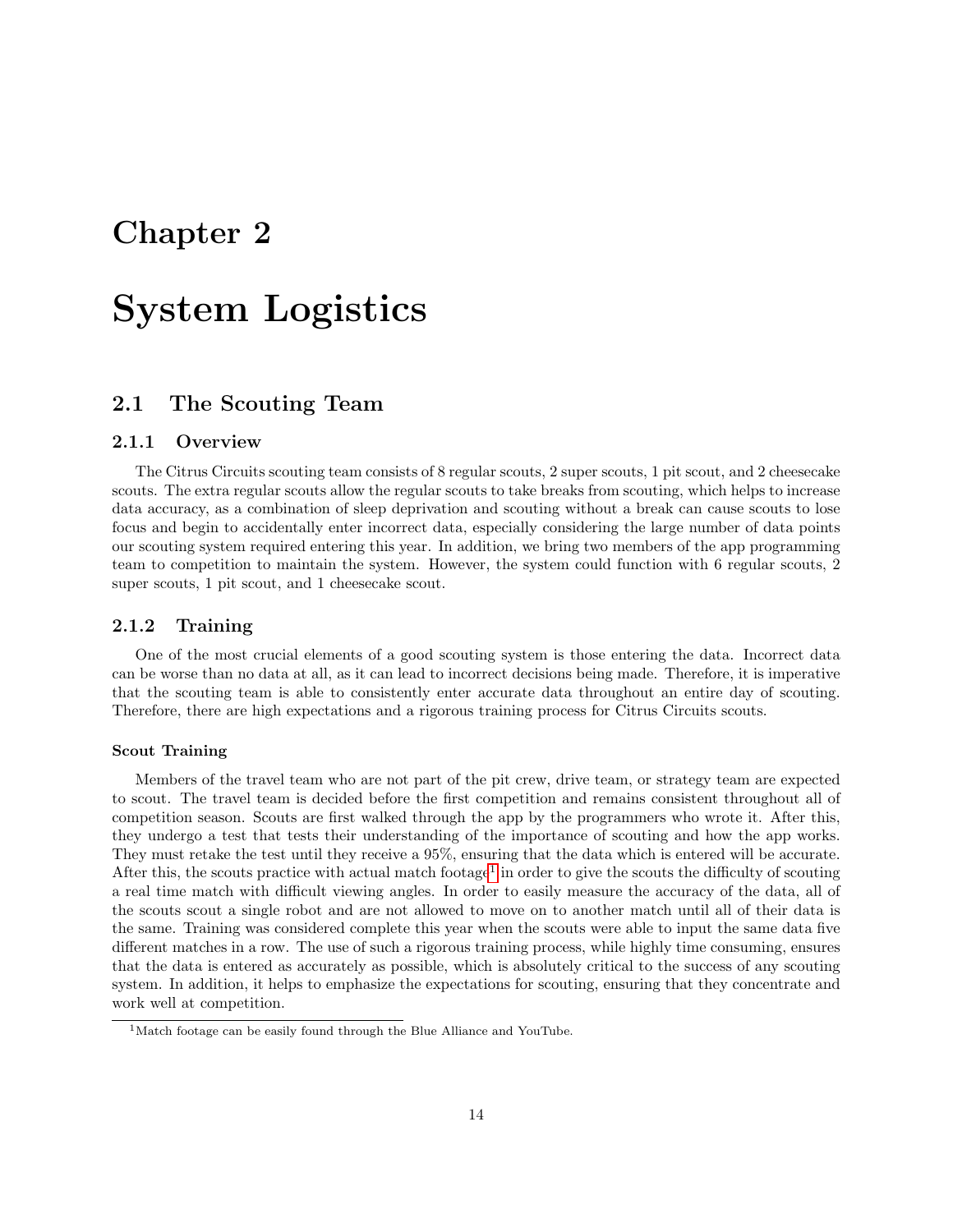# <span id="page-14-0"></span>Chapter 2

# System Logistics

# <span id="page-14-1"></span>2.1 The Scouting Team

## <span id="page-14-2"></span>2.1.1 Overview

The Citrus Circuits scouting team consists of 8 regular scouts, 2 super scouts, 1 pit scout, and 2 cheesecake scouts. The extra regular scouts allow the regular scouts to take breaks from scouting, which helps to increase data accuracy, as a combination of sleep deprivation and scouting without a break can cause scouts to lose focus and begin to accidentally enter incorrect data, especially considering the large number of data points our scouting system required entering this year. In addition, we bring two members of the app programming team to competition to maintain the system. However, the system could function with 6 regular scouts, 2 super scouts, 1 pit scout, and 1 cheesecake scout.

# <span id="page-14-3"></span>2.1.2 Training

One of the most crucial elements of a good scouting system is those entering the data. Incorrect data can be worse than no data at all, as it can lead to incorrect decisions being made. Therefore, it is imperative that the scouting team is able to consistently enter accurate data throughout an entire day of scouting. Therefore, there are high expectations and a rigorous training process for Citrus Circuits scouts.

#### Scout Training

Members of the travel team who are not part of the pit crew, drive team, or strategy team are expected to scout. The travel team is decided before the first competition and remains consistent throughout all of competition season. Scouts are first walked through the app by the programmers who wrote it. After this, they undergo a test that tests their understanding of the importance of scouting and how the app works. They must retake the test until they receive a 95%, ensuring that the data which is entered will be accurate. After this, the scouts practice with actual match footage<sup>[1](#page-14-4)</sup> in order to give the scouts the difficulty of scouting a real time match with difficult viewing angles. In order to easily measure the accuracy of the data, all of the scouts scout a single robot and are not allowed to move on to another match until all of their data is the same. Training was considered complete this year when the scouts were able to input the same data five different matches in a row. The use of such a rigorous training process, while highly time consuming, ensures that the data is entered as accurately as possible, which is absolutely critical to the success of any scouting system. In addition, it helps to emphasize the expectations for scouting, ensuring that they concentrate and work well at competition.

<span id="page-14-4"></span><sup>&</sup>lt;sup>1</sup>Match footage can be easily found through the Blue Alliance and YouTube.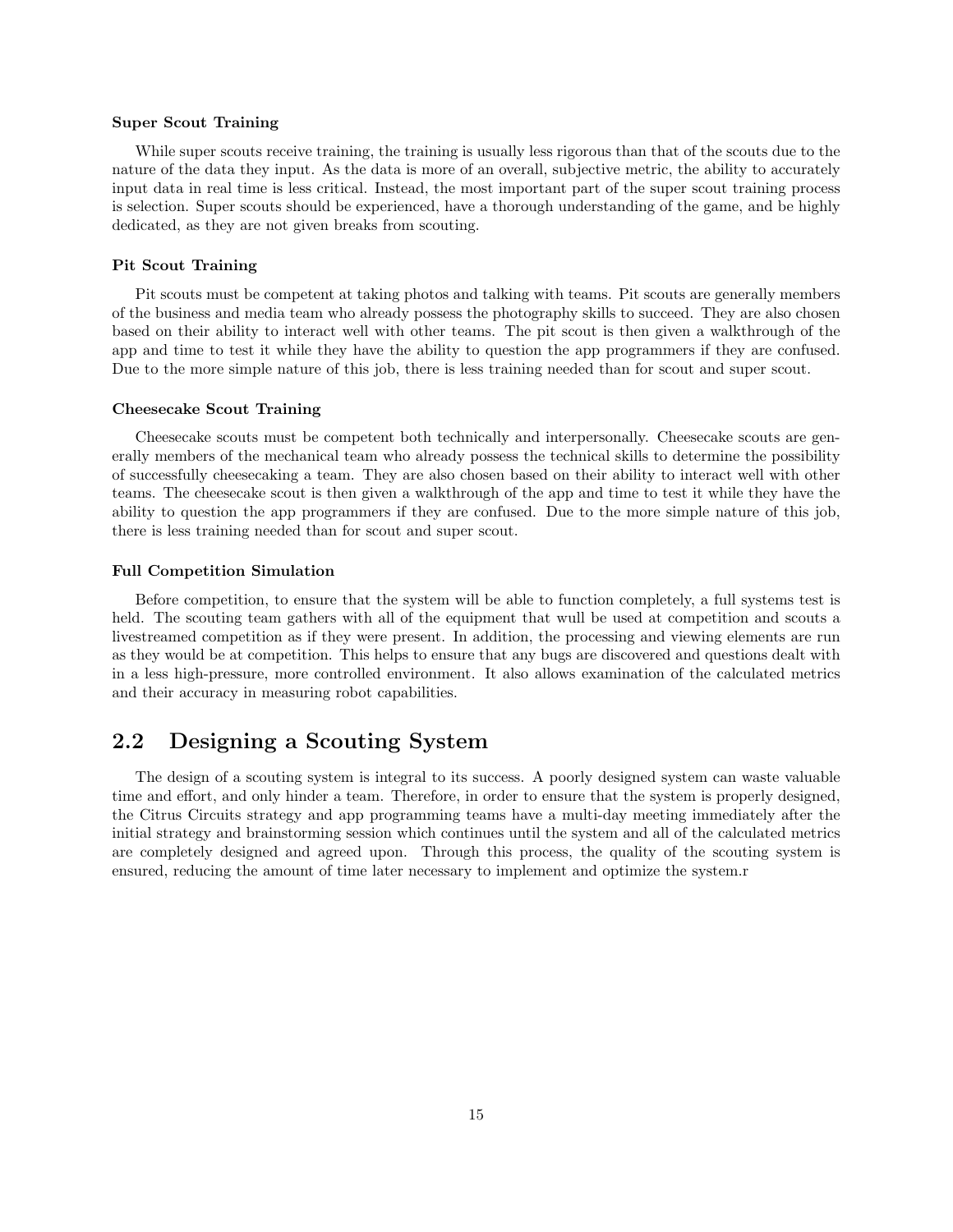#### Super Scout Training

While super scouts receive training, the training is usually less rigorous than that of the scouts due to the nature of the data they input. As the data is more of an overall, subjective metric, the ability to accurately input data in real time is less critical. Instead, the most important part of the super scout training process is selection. Super scouts should be experienced, have a thorough understanding of the game, and be highly dedicated, as they are not given breaks from scouting.

#### Pit Scout Training

Pit scouts must be competent at taking photos and talking with teams. Pit scouts are generally members of the business and media team who already possess the photography skills to succeed. They are also chosen based on their ability to interact well with other teams. The pit scout is then given a walkthrough of the app and time to test it while they have the ability to question the app programmers if they are confused. Due to the more simple nature of this job, there is less training needed than for scout and super scout.

#### Cheesecake Scout Training

Cheesecake scouts must be competent both technically and interpersonally. Cheesecake scouts are generally members of the mechanical team who already possess the technical skills to determine the possibility of successfully cheesecaking a team. They are also chosen based on their ability to interact well with other teams. The cheesecake scout is then given a walkthrough of the app and time to test it while they have the ability to question the app programmers if they are confused. Due to the more simple nature of this job, there is less training needed than for scout and super scout.

#### Full Competition Simulation

Before competition, to ensure that the system will be able to function completely, a full systems test is held. The scouting team gathers with all of the equipment that wull be used at competition and scouts a livestreamed competition as if they were present. In addition, the processing and viewing elements are run as they would be at competition. This helps to ensure that any bugs are discovered and questions dealt with in a less high-pressure, more controlled environment. It also allows examination of the calculated metrics and their accuracy in measuring robot capabilities.

# <span id="page-15-0"></span>2.2 Designing a Scouting System

The design of a scouting system is integral to its success. A poorly designed system can waste valuable time and effort, and only hinder a team. Therefore, in order to ensure that the system is properly designed, the Citrus Circuits strategy and app programming teams have a multi-day meeting immediately after the initial strategy and brainstorming session which continues until the system and all of the calculated metrics are completely designed and agreed upon. Through this process, the quality of the scouting system is ensured, reducing the amount of time later necessary to implement and optimize the system.r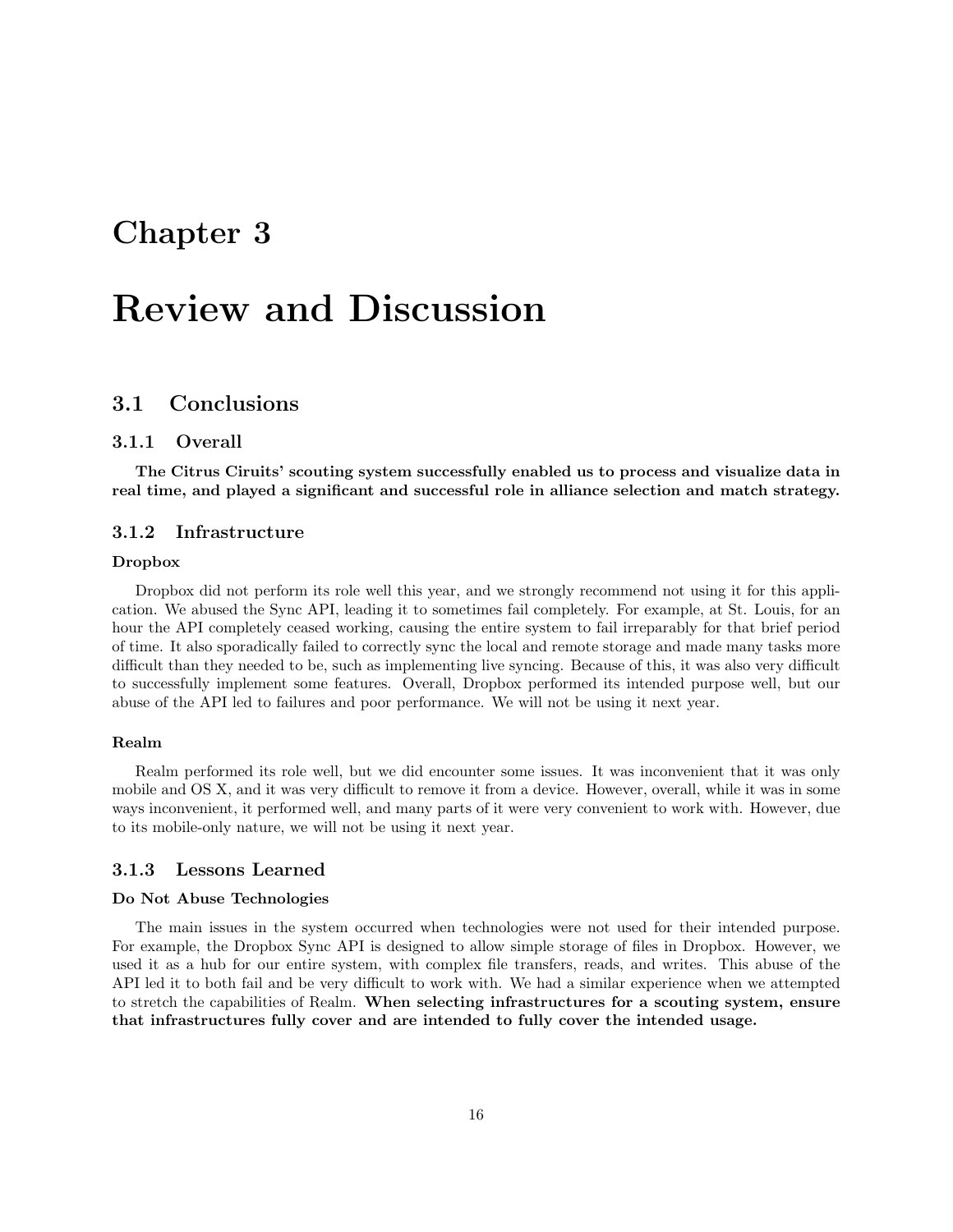# <span id="page-16-0"></span>Chapter 3

# Review and Discussion

# <span id="page-16-1"></span>3.1 Conclusions

### <span id="page-16-2"></span>3.1.1 Overall

The Citrus Ciruits' scouting system successfully enabled us to process and visualize data in real time, and played a significant and successful role in alliance selection and match strategy.

### <span id="page-16-3"></span>3.1.2 Infrastructure

#### Dropbox

Dropbox did not perform its role well this year, and we strongly recommend not using it for this application. We abused the Sync API, leading it to sometimes fail completely. For example, at St. Louis, for an hour the API completely ceased working, causing the entire system to fail irreparably for that brief period of time. It also sporadically failed to correctly sync the local and remote storage and made many tasks more difficult than they needed to be, such as implementing live syncing. Because of this, it was also very difficult to successfully implement some features. Overall, Dropbox performed its intended purpose well, but our abuse of the API led to failures and poor performance. We will not be using it next year.

#### Realm

Realm performed its role well, but we did encounter some issues. It was inconvenient that it was only mobile and OS X, and it was very difficult to remove it from a device. However, overall, while it was in some ways inconvenient, it performed well, and many parts of it were very convenient to work with. However, due to its mobile-only nature, we will not be using it next year.

# <span id="page-16-4"></span>3.1.3 Lessons Learned

#### Do Not Abuse Technologies

The main issues in the system occurred when technologies were not used for their intended purpose. For example, the Dropbox Sync API is designed to allow simple storage of files in Dropbox. However, we used it as a hub for our entire system, with complex file transfers, reads, and writes. This abuse of the API led it to both fail and be very difficult to work with. We had a similar experience when we attempted to stretch the capabilities of Realm. When selecting infrastructures for a scouting system, ensure that infrastructures fully cover and are intended to fully cover the intended usage.